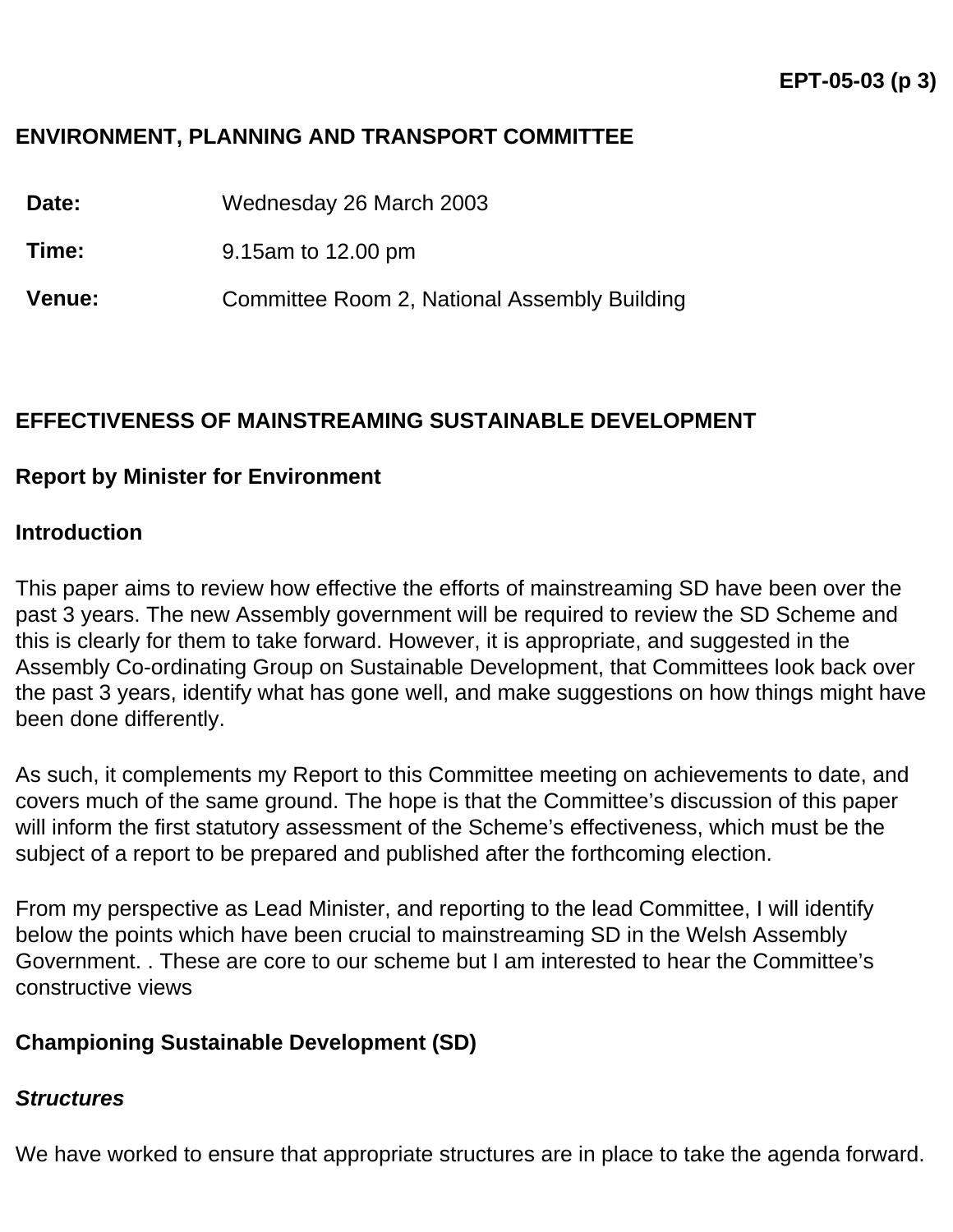## **ENVIRONMENT, PLANNING AND TRANSPORT COMMITTEE**

**Date:** Wednesday 26 March 2003

**Time:** 9.15am to 12.00 pm

**Venue:** Committee Room 2, National Assembly Building

## **EFFECTIVENESS OF MAINSTREAMING SUSTAINABLE DEVELOPMENT**

## **Report by Minister for Environment**

#### **Introduction**

This paper aims to review how effective the efforts of mainstreaming SD have been over the past 3 years. The new Assembly government will be required to review the SD Scheme and this is clearly for them to take forward. However, it is appropriate, and suggested in the Assembly Co-ordinating Group on Sustainable Development, that Committees look back over the past 3 years, identify what has gone well, and make suggestions on how things might have been done differently.

As such, it complements my Report to this Committee meeting on achievements to date, and covers much of the same ground. The hope is that the Committee's discussion of this paper will inform the first statutory assessment of the Scheme's effectiveness, which must be the subject of a report to be prepared and published after the forthcoming election.

From my perspective as Lead Minister, and reporting to the lead Committee, I will identify below the points which have been crucial to mainstreaming SD in the Welsh Assembly Government. . These are core to our scheme but I am interested to hear the Committee's constructive views

## **Championing Sustainable Development (SD)**

#### *Structures*

We have worked to ensure that appropriate structures are in place to take the agenda forward.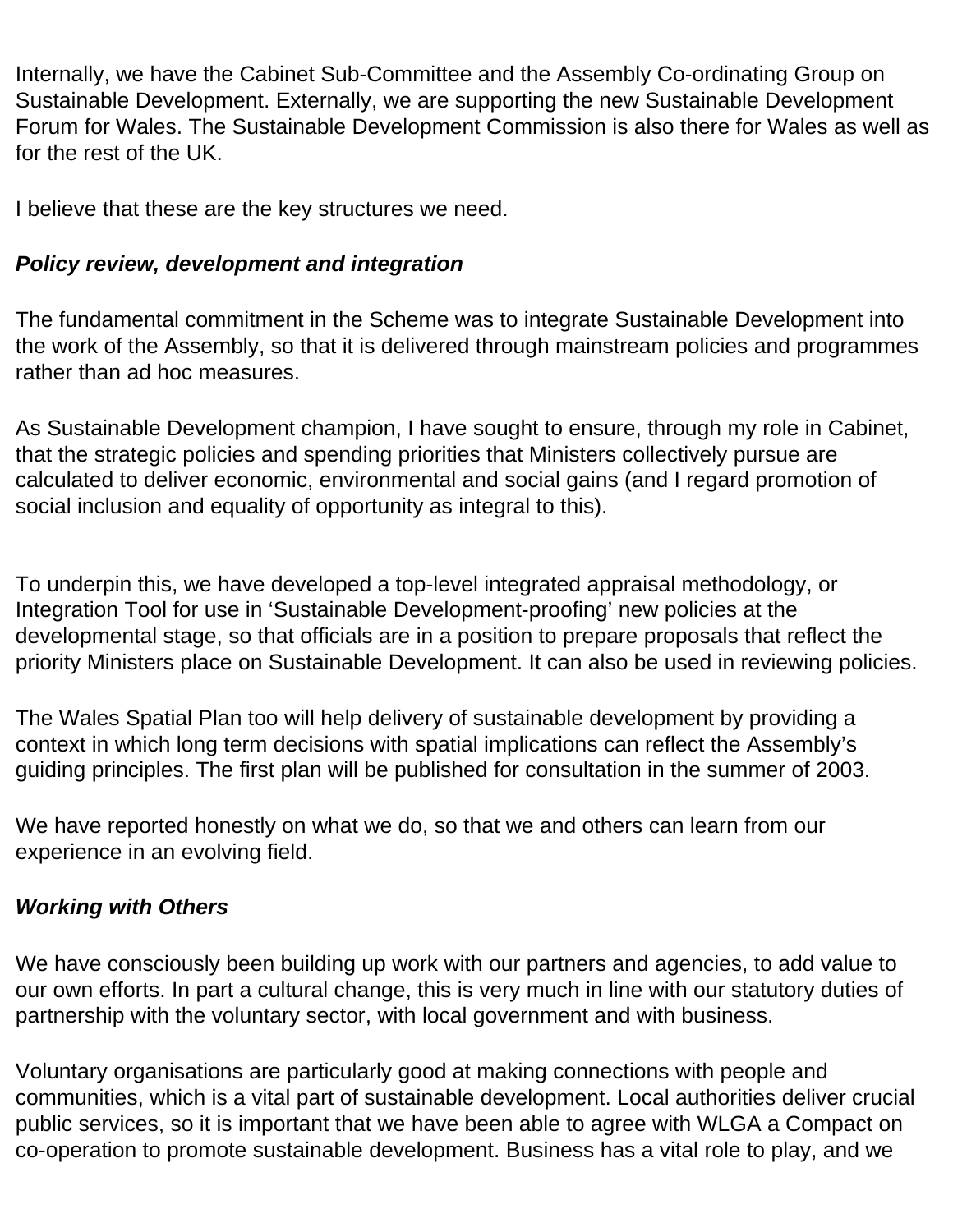Internally, we have the Cabinet Sub-Committee and the Assembly Co-ordinating Group on Sustainable Development. Externally, we are supporting the new Sustainable Development Forum for Wales. The Sustainable Development Commission is also there for Wales as well as for the rest of the UK.

I believe that these are the key structures we need.

# *Policy review, development and integration*

The fundamental commitment in the Scheme was to integrate Sustainable Development into the work of the Assembly, so that it is delivered through mainstream policies and programmes rather than ad hoc measures.

As Sustainable Development champion, I have sought to ensure, through my role in Cabinet, that the strategic policies and spending priorities that Ministers collectively pursue are calculated to deliver economic, environmental and social gains (and I regard promotion of social inclusion and equality of opportunity as integral to this).

To underpin this, we have developed a top-level integrated appraisal methodology, or Integration Tool for use in 'Sustainable Development-proofing' new policies at the developmental stage, so that officials are in a position to prepare proposals that reflect the priority Ministers place on Sustainable Development. It can also be used in reviewing policies.

The Wales Spatial Plan too will help delivery of sustainable development by providing a context in which long term decisions with spatial implications can reflect the Assembly's guiding principles. The first plan will be published for consultation in the summer of 2003.

We have reported honestly on what we do, so that we and others can learn from our experience in an evolving field.

## *Working with Others*

We have consciously been building up work with our partners and agencies, to add value to our own efforts. In part a cultural change, this is very much in line with our statutory duties of partnership with the voluntary sector, with local government and with business.

Voluntary organisations are particularly good at making connections with people and communities, which is a vital part of sustainable development. Local authorities deliver crucial public services, so it is important that we have been able to agree with WLGA a Compact on co-operation to promote sustainable development. Business has a vital role to play, and we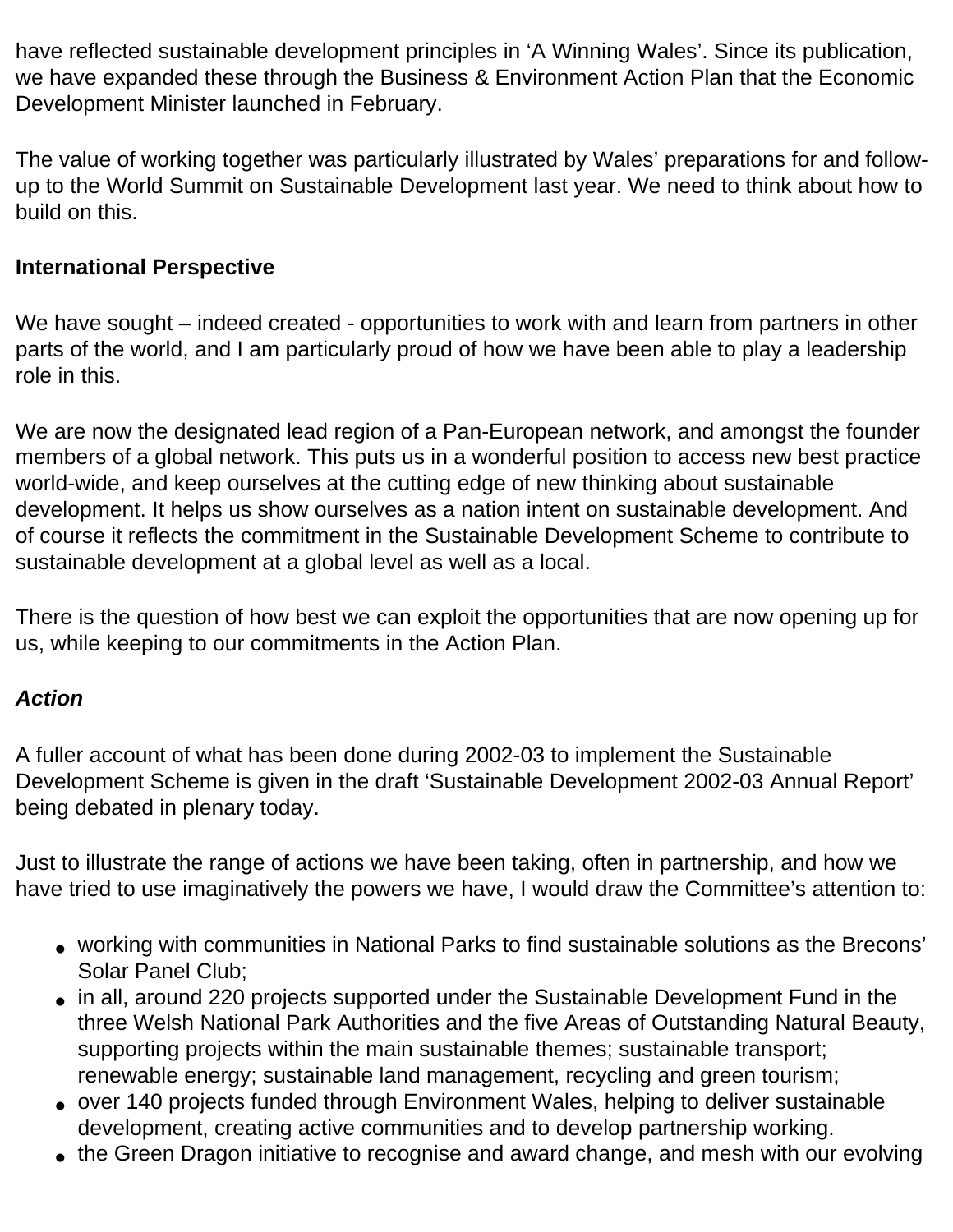have reflected sustainable development principles in 'A Winning Wales'. Since its publication, we have expanded these through the Business & Environment Action Plan that the Economic Development Minister launched in February.

The value of working together was particularly illustrated by Wales' preparations for and followup to the World Summit on Sustainable Development last year. We need to think about how to build on this.

# **International Perspective**

We have sought – indeed created - opportunities to work with and learn from partners in other parts of the world, and I am particularly proud of how we have been able to play a leadership role in this.

We are now the designated lead region of a Pan-European network, and amongst the founder members of a global network. This puts us in a wonderful position to access new best practice world-wide, and keep ourselves at the cutting edge of new thinking about sustainable development. It helps us show ourselves as a nation intent on sustainable development. And of course it reflects the commitment in the Sustainable Development Scheme to contribute to sustainable development at a global level as well as a local.

There is the question of how best we can exploit the opportunities that are now opening up for us, while keeping to our commitments in the Action Plan.

## *Action*

A fuller account of what has been done during 2002-03 to implement the Sustainable Development Scheme is given in the draft 'Sustainable Development 2002-03 Annual Report' being debated in plenary today.

Just to illustrate the range of actions we have been taking, often in partnership, and how we have tried to use imaginatively the powers we have, I would draw the Committee's attention to:

- working with communities in National Parks to find sustainable solutions as the Brecons' Solar Panel Club;
- in all, around 220 projects supported under the Sustainable Development Fund in the three Welsh National Park Authorities and the five Areas of Outstanding Natural Beauty, supporting projects within the main sustainable themes; sustainable transport; renewable energy; sustainable land management, recycling and green tourism;
- over 140 projects funded through Environment Wales, helping to deliver sustainable development, creating active communities and to develop partnership working.
- the Green Dragon initiative to recognise and award change, and mesh with our evolving